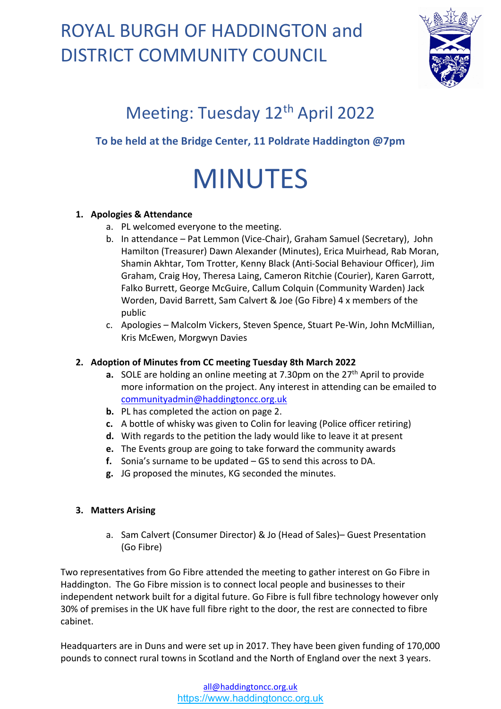

### Meeting: Tuesday 12<sup>th</sup> April 2022

### **To be held at the Bridge Center, 11 Poldrate Haddington @7pm**

# MINUTES

#### **1. Apologies & Attendance**

- a. PL welcomed everyone to the meeting.
- b. In attendance Pat Lemmon (Vice-Chair), Graham Samuel (Secretary), John Hamilton (Treasurer) Dawn Alexander (Minutes), Erica Muirhead, Rab Moran, Shamin Akhtar, Tom Trotter, Kenny Black (Anti-Social Behaviour Officer), Jim Graham, Craig Hoy, Theresa Laing, Cameron Ritchie (Courier), Karen Garrott, Falko Burrett, George McGuire, Callum Colquin (Community Warden) Jack Worden, David Barrett, Sam Calvert & Joe (Go Fibre) 4 x members of the public
- c. Apologies Malcolm Vickers, Steven Spence, Stuart Pe-Win, John McMillian, Kris McEwen, Morgwyn Davies

### **2. Adoption of Minutes from CC meeting Tuesday 8th March 2022**

- **a.** SOLE are holding an online meeting at 7.30pm on the 27<sup>th</sup> April to provide more information on the project. Any interest in attending can be emailed to [communityadmin@haddingtoncc.org.uk](mailto:communityadmin@haddingtoncc.org.uk)
- **b.** PL has completed the action on page 2.
- **c.** A bottle of whisky was given to Colin for leaving (Police officer retiring)
- **d.** With regards to the petition the lady would like to leave it at present
- **e.** The Events group are going to take forward the community awards
- **f.** Sonia's surname to be updated GS to send this across to DA.
- **g.** JG proposed the minutes, KG seconded the minutes.

#### **3. Matters Arising**

a. Sam Calvert (Consumer Director) & Jo (Head of Sales)– Guest Presentation (Go Fibre)

Two representatives from Go Fibre attended the meeting to gather interest on Go Fibre in Haddington. The Go Fibre mission is to connect local people and businesses to their independent network built for a digital future. Go Fibre is full fibre technology however only 30% of premises in the UK have full fibre right to the door, the rest are connected to fibre cabinet.

Headquarters are in Duns and were set up in 2017. They have been given funding of 170,000 pounds to connect rural towns in Scotland and the North of England over the next 3 years.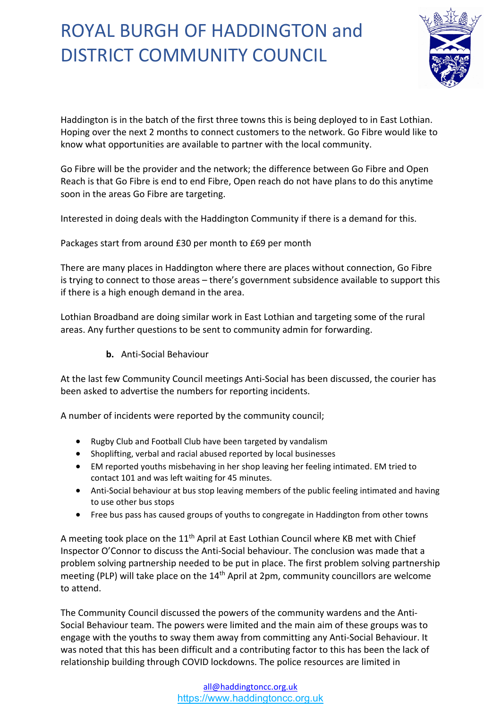

Haddington is in the batch of the first three towns this is being deployed to in East Lothian. Hoping over the next 2 months to connect customers to the network. Go Fibre would like to know what opportunities are available to partner with the local community.

Go Fibre will be the provider and the network; the difference between Go Fibre and Open Reach is that Go Fibre is end to end Fibre, Open reach do not have plans to do this anytime soon in the areas Go Fibre are targeting.

Interested in doing deals with the Haddington Community if there is a demand for this.

Packages start from around £30 per month to £69 per month

There are many places in Haddington where there are places without connection, Go Fibre is trying to connect to those areas – there's government subsidence available to support this if there is a high enough demand in the area.

Lothian Broadband are doing similar work in East Lothian and targeting some of the rural areas. Any further questions to be sent to community admin for forwarding.

**b.** Anti-Social Behaviour

At the last few Community Council meetings Anti-Social has been discussed, the courier has been asked to advertise the numbers for reporting incidents.

A number of incidents were reported by the community council;

- Rugby Club and Football Club have been targeted by vandalism
- Shoplifting, verbal and racial abused reported by local businesses
- EM reported youths misbehaving in her shop leaving her feeling intimated. EM tried to contact 101 and was left waiting for 45 minutes.
- Anti-Social behaviour at bus stop leaving members of the public feeling intimated and having to use other bus stops
- Free bus pass has caused groups of youths to congregate in Haddington from other towns

A meeting took place on the  $11<sup>th</sup>$  April at East Lothian Council where KB met with Chief Inspector O'Connor to discuss the Anti-Social behaviour. The conclusion was made that a problem solving partnership needed to be put in place. The first problem solving partnership meeting (PLP) will take place on the 14th April at 2pm, community councillors are welcome to attend.

The Community Council discussed the powers of the community wardens and the Anti-Social Behaviour team. The powers were limited and the main aim of these groups was to engage with the youths to sway them away from committing any Anti-Social Behaviour. It was noted that this has been difficult and a contributing factor to this has been the lack of relationship building through COVID lockdowns. The police resources are limited in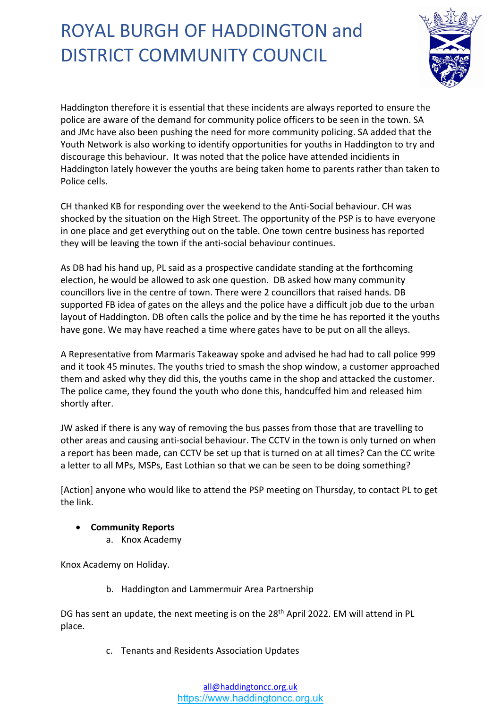

Haddington therefore it is essential that these incidents are always reported to ensure the police are aware of the demand for community police officers to be seen in the town. SA and JMc have also been pushing the need for more community policing. SA added that the Youth Network is also working to identify opportunities for youths in Haddington to try and discourage this behaviour. It was noted that the police have attended incidients in Haddington lately however the youths are being taken home to parents rather than taken to Police cells.

CH thanked KB for responding over the weekend to the Anti-Social behaviour. CH was shocked by the situation on the High Street. The opportunity of the PSP is to have everyone in one place and get everything out on the table. One town centre business has reported they will be leaving the town if the anti-social behaviour continues.

As DB had his hand up, PL said as a prospective candidate standing at the forthcoming election, he would be allowed to ask one question.DB asked how many community councillors live in the centre of town. There were 2 councillors that raised hands. DB supported FB idea of gates on the alleys and the police have a difficult job due to the urban layout of Haddington. DB often calls the police and by the time he has reported it the youths have gone. We may have reached a time where gates have to be put on all the alleys.

A Representative from Marmaris Takeaway spoke and advised he had had to call police 999 and it took 45 minutes. The youths tried to smash the shop window, a customer approached them and asked why they did this, the youths came in the shop and attacked the customer. The police came, they found the youth who done this, handcuffed him and released him shortly after.

JW asked if there is any way of removing the bus passes from those that are travelling to other areas and causing anti-social behaviour. The CCTV in the town is only turned on when a report has been made, can CCTV be set up that is turned on at all times? Can the CC write a letter to all MPs, MSPs, East Lothian so that we can be seen to be doing something?

[Action] anyone who would like to attend the PSP meeting on Thursday, to contact PL to get the link.

- **Community Reports** 
	- a. Knox Academy

Knox Academy on Holiday.

b. Haddington and Lammermuir Area Partnership

DG has sent an update, the next meeting is on the 28<sup>th</sup> April 2022. EM will attend in PL place.

c. Tenants and Residents Association Updates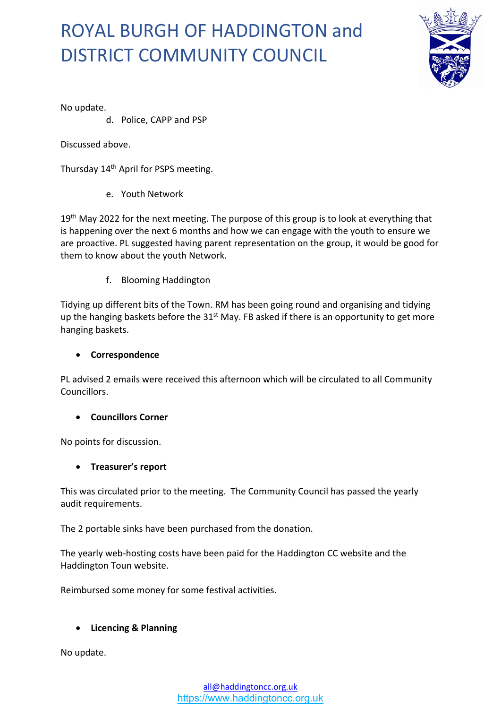

No update.

d. Police, CAPP and PSP

Discussed above.

Thursday 14<sup>th</sup> April for PSPS meeting.

e. Youth Network

19<sup>th</sup> May 2022 for the next meeting. The purpose of this group is to look at everything that is happening over the next 6 months and how we can engage with the youth to ensure we are proactive. PL suggested having parent representation on the group, it would be good for them to know about the youth Network.

f. Blooming Haddington

Tidying up different bits of the Town. RM has been going round and organising and tidying up the hanging baskets before the  $31<sup>st</sup>$  May. FB asked if there is an opportunity to get more hanging baskets.

#### **Correspondence**

PL advised 2 emails were received this afternoon which will be circulated to all Community Councillors.

#### **Councillors Corner**

No points for discussion.

#### **Treasurer's report**

This was circulated prior to the meeting. The Community Council has passed the yearly audit requirements.

The 2 portable sinks have been purchased from the donation.

The yearly web-hosting costs have been paid for the Haddington CC website and the Haddington Toun website.

Reimbursed some money for some festival activities.

#### **Licencing & Planning**

No update.